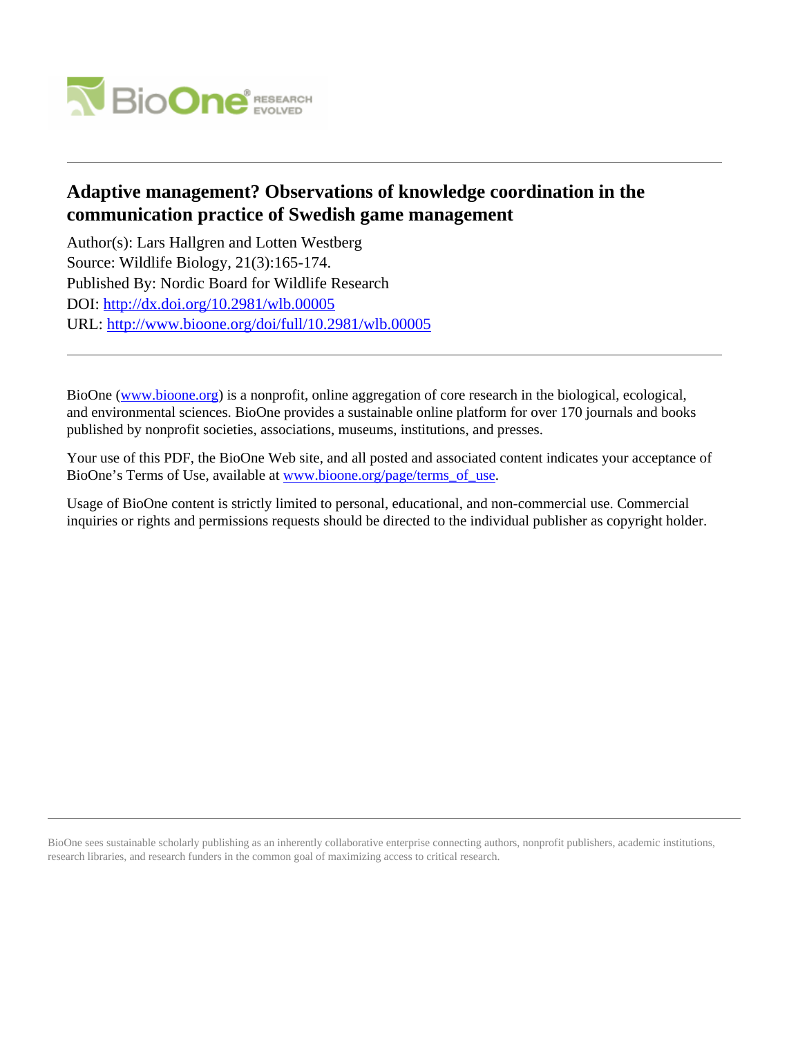

# **Adaptive management? Observations of knowledge coordination in the communication practice of Swedish game management**

Author(s): Lars Hallgren and Lotten Westberg Source: Wildlife Biology, 21(3):165-174. Published By: Nordic Board for Wildlife Research DOI:<http://dx.doi.org/10.2981/wlb.00005> URL: <http://www.bioone.org/doi/full/10.2981/wlb.00005>

BioOne [\(www.bioone.org\)](http://www.bioone.org) is a nonprofit, online aggregation of core research in the biological, ecological, and environmental sciences. BioOne provides a sustainable online platform for over 170 journals and books published by nonprofit societies, associations, museums, institutions, and presses.

Your use of this PDF, the BioOne Web site, and all posted and associated content indicates your acceptance of BioOne's Terms of Use, available at [www.bioone.org/page/terms\\_of\\_use.](http://www.bioone.org/page/terms_of_use)

Usage of BioOne content is strictly limited to personal, educational, and non-commercial use. Commercial inquiries or rights and permissions requests should be directed to the individual publisher as copyright holder.

BioOne sees sustainable scholarly publishing as an inherently collaborative enterprise connecting authors, nonprofit publishers, academic institutions, research libraries, and research funders in the common goal of maximizing access to critical research.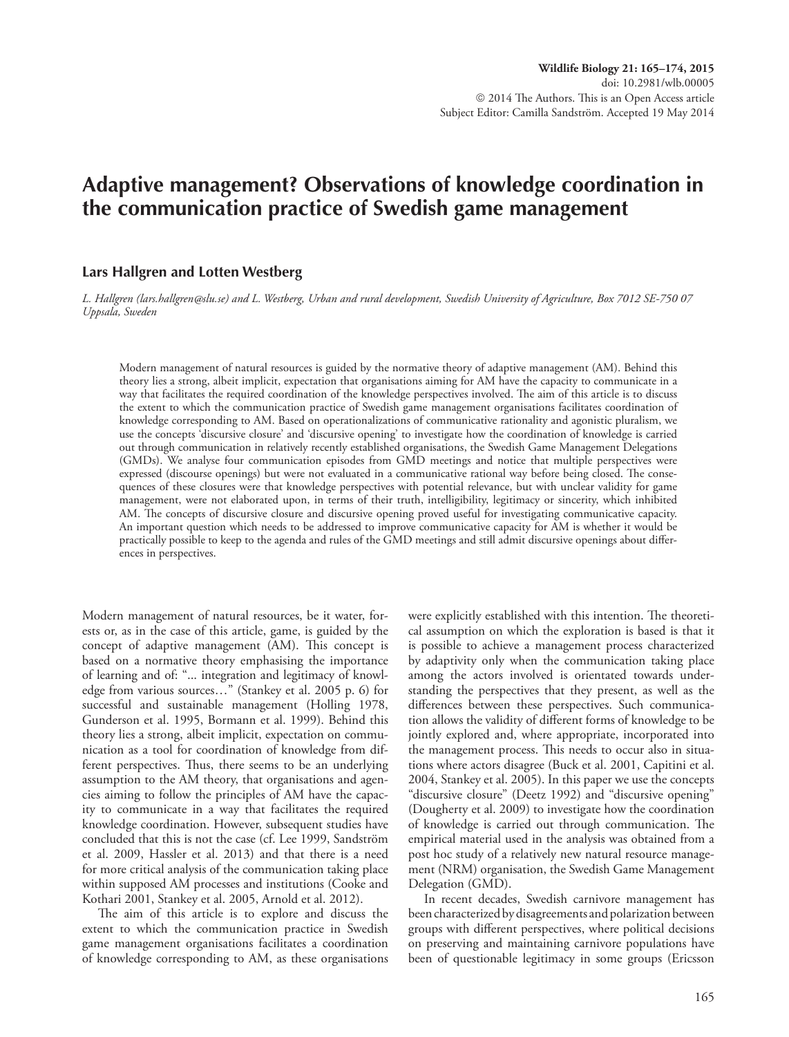# **Adaptive management? Observations of knowledge coordination in the communication practice of Swedish game management**

## **Lars Hallgren and Lotten Westberg**

 *L. Hallgren (lars.hallgren@slu.se) and L. Westberg, Urban and rural development, Swedish University of Agriculture, Box 7012 SE-750 07 Uppsala, Sweden* 

 Modern management of natural resources is guided by the normative theory of adaptive management (AM). Behind this theory lies a strong, albeit implicit, expectation that organisations aiming for AM have the capacity to communicate in a way that facilitates the required coordination of the knowledge perspectives involved. The aim of this article is to discuss the extent to which the communication practice of Swedish game management organisations facilitates coordination of knowledge corresponding to AM. Based on operationalizations of communicative rationality and agonistic pluralism, we use the concepts 'discursive closure' and 'discursive opening' to investigate how the coordination of knowledge is carried out through communication in relatively recently established organisations, the Swedish Game Management Delegations (GMDs). We analyse four communication episodes from GMD meetings and notice that multiple perspectives were expressed (discourse openings) but were not evaluated in a communicative rational way before being closed. The consequences of these closures were that knowledge perspectives with potential relevance, but with unclear validity for game management, were not elaborated upon, in terms of their truth, intelligibility, legitimacy or sincerity, which inhibited AM. The concepts of discursive closure and discursive opening proved useful for investigating communicative capacity. An important question which needs to be addressed to improve communicative capacity for AM is whether it would be practically possible to keep to the agenda and rules of the GMD meetings and still admit discursive openings about differences in perspectives.

 Modern management of natural resources, be it water, forests or, as in the case of this article, game, is guided by the concept of adaptive management (AM). This concept is based on a normative theory emphasising the importance of learning and of: "... integration and legitimacy of knowledge from various sources … " (Stankey et al. 2005 p. 6) for successful and sustainable management (Holling 1978, Gunderson et al. 1995, Bormann et al. 1999). Behind this theory lies a strong, albeit implicit, expectation on communication as a tool for coordination of knowledge from different perspectives. Thus, there seems to be an underlying assumption to the AM theory, that organisations and agencies aiming to follow the principles of AM have the capacity to communicate in a way that facilitates the required knowledge coordination. However, subsequent studies have concluded that this is not the case (cf. Lee 1999, Sandström et al. 2009, Hassler et al. 2013) and that there is a need for more critical analysis of the communication taking place within supposed AM processes and institutions (Cooke and Kothari 2001, Stankey et al. 2005, Arnold et al. 2012).

The aim of this article is to explore and discuss the extent to which the communication practice in Swedish game management organisations facilitates a coordination of knowledge corresponding to AM, as these organisations were explicitly established with this intention. The theoretical assumption on which the exploration is based is that it is possible to achieve a management process characterized by adaptivity only when the communication taking place among the actors involved is orientated towards understanding the perspectives that they present, as well as the differences between these perspectives. Such communication allows the validity of different forms of knowledge to be jointly explored and, where appropriate, incorporated into the management process. This needs to occur also in situations where actors disagree (Buck et al. 2001, Capitini et al. 2004, Stankey et al. 2005). In this paper we use the concepts " discursive closure" (Deetz 1992) and " discursive opening" (Dougherty et al. 2009) to investigate how the coordination of knowledge is carried out through communication. The empirical material used in the analysis was obtained from a post hoc study of a relatively new natural resource management (NRM) organisation, the Swedish Game Management Delegation (GMD).

 In recent decades, Swedish carnivore management has been characterized by disagreements and polarization between groups with different perspectives, where political decisions on preserving and maintaining carnivore populations have been of questionable legitimacy in some groups (Ericsson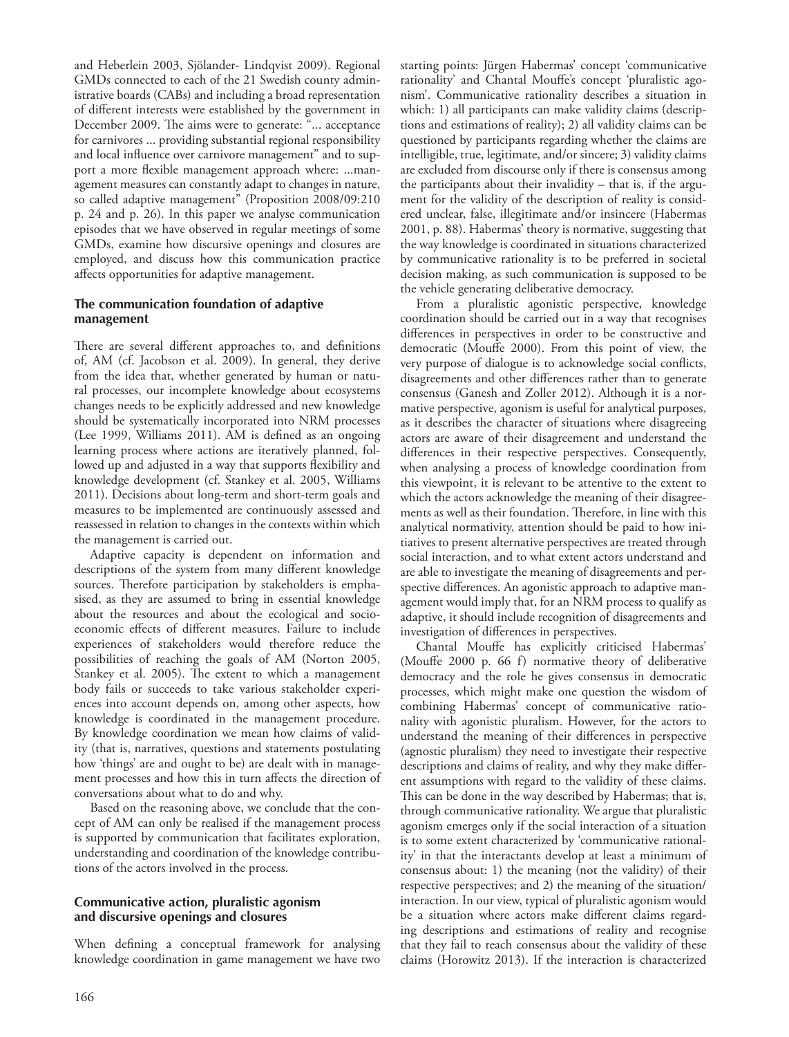and Heberlein 2003, Sjölander- Lindqvist 2009). Regional GMDs connected to each of the 21 Swedish county administrative boards (CABs) and including a broad representation of different interests were established by the government in December 2009. The aims were to generate: "... acceptance for carnivores ... providing substantial regional responsibility and local influence over carnivore management" and to support a more flexible management approach where: ...management measures can constantly adapt to changes in nature, so called adaptive management" (Proposition 2008/09:210 p. 24 and p. 26). In this paper we analyse communication episodes that we have observed in regular meetings of some GMDs, examine how discursive openings and closures are employed, and discuss how this communication practice affects opportunities for adaptive management.

### **The communication foundation of adaptive management**

There are several different approaches to, and definitions of, AM (cf. Jacobson et al. 2009). In general, they derive from the idea that, whether generated by human or natural processes, our incomplete knowledge about ecosystems changes needs to be explicitly addressed and new knowledge should be systematically incorporated into NRM processes (Lee 1999, Williams 2011). AM is defined as an ongoing learning process where actions are iteratively planned, followed up and adjusted in a way that supports flexibility and knowledge development (cf. Stankey et al. 2005, Williams 2011). Decisions about long-term and short-term goals and measures to be implemented are continuously assessed and reassessed in relation to changes in the contexts within which the management is carried out.

 Adaptive capacity is dependent on information and descriptions of the system from many different knowledge sources. Therefore participation by stakeholders is emphasised, as they are assumed to bring in essential knowledge about the resources and about the ecological and socioeconomic effects of different measures. Failure to include experiences of stakeholders would therefore reduce the possibilities of reaching the goals of AM (Norton 2005, Stankey et al. 2005). The extent to which a management body fails or succeeds to take various stakeholder experiences into account depends on, among other aspects, how knowledge is coordinated in the management procedure. By knowledge coordination we mean how claims of validity (that is, narratives, questions and statements postulating how 'things' are and ought to be) are dealt with in management processes and how this in turn affects the direction of conversations about what to do and why.

 Based on the reasoning above, we conclude that the concept of AM can only be realised if the management process is supported by communication that facilitates exploration, understanding and coordination of the knowledge contributions of the actors involved in the process.

## **Communicative action, pluralistic agonism and discursive openings and closures**

When defining a conceptual framework for analysing knowledge coordination in game management we have two

starting points: Jürgen Habermas' concept 'communicative rationality' and Chantal Mouffe's concept 'pluralistic agonism'. Communicative rationality describes a situation in which: 1) all participants can make validity claims (descriptions and estimations of reality); 2) all validity claims can be questioned by participants regarding whether the claims are intelligible, true, legitimate, and/or sincere; 3) validity claims are excluded from discourse only if there is consensus among the participants about their invalidity – that is, if the argument for the validity of the description of reality is considered unclear, false, illegitimate and/or insincere (Habermas 2001, p. 88). Habermas' theory is normative, suggesting that the way knowledge is coordinated in situations characterized by communicative rationality is to be preferred in societal decision making, as such communication is supposed to be the vehicle generating deliberative democracy.

 From a pluralistic agonistic perspective, knowledge coordination should be carried out in a way that recognises differences in perspectives in order to be constructive and democratic (Mouffe 2000). From this point of view, the very purpose of dialogue is to acknowledge social conflicts, disagreements and other differences rather than to generate consensus (Ganesh and Zoller 2012). Although it is a normative perspective, agonism is useful for analytical purposes, as it describes the character of situations where disagreeing actors are aware of their disagreement and understand the differences in their respective perspectives. Consequently, when analysing a process of knowledge coordination from this viewpoint, it is relevant to be attentive to the extent to which the actors acknowledge the meaning of their disagreements as well as their foundation. Therefore, in line with this analytical normativity, attention should be paid to how initiatives to present alternative perspectives are treated through social interaction, and to what extent actors understand and are able to investigate the meaning of disagreements and perspective differences. An agonistic approach to adaptive management would imply that, for an NRM process to qualify as adaptive, it should include recognition of disagreements and investigation of differences in perspectives.

Chantal Mouffe has explicitly criticised Habermas' (Mouffe 2000 p.  $66 \text{ f}$ ) normative theory of deliberative democracy and the role he gives consensus in democratic processes, which might make one question the wisdom of combining Habermas' concept of communicative rationality with agonistic pluralism. However, for the actors to understand the meaning of their differences in perspective (agnostic pluralism) they need to investigate their respective descriptions and claims of reality, and why they make different assumptions with regard to the validity of these claims. This can be done in the way described by Habermas; that is, through communicative rationality. We argue that pluralistic agonism emerges only if the social interaction of a situation is to some extent characterized by 'communicative rationality' in that the interactants develop at least a minimum of consensus about: 1) the meaning (not the validity) of their respective perspectives; and 2) the meaning of the situation/ interaction. In our view, typical of pluralistic agonism would be a situation where actors make different claims regarding descriptions and estimations of reality and recognise that they fail to reach consensus about the validity of these claims (Horowitz 2013). If the interaction is characterized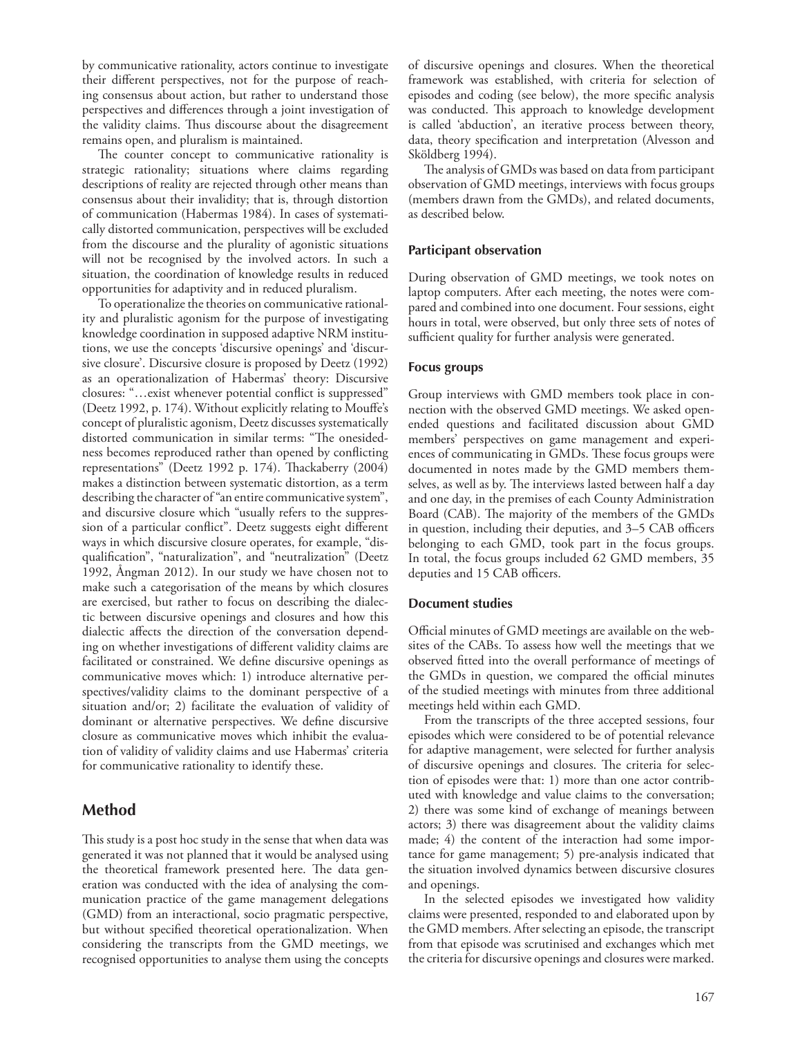by communicative rationality, actors continue to investigate their different perspectives, not for the purpose of reaching consensus about action, but rather to understand those perspectives and differences through a joint investigation of the validity claims. Thus discourse about the disagreement remains open, and pluralism is maintained.

The counter concept to communicative rationality is strategic rationality; situations where claims regarding descriptions of reality are rejected through other means than consensus about their invalidity; that is, through distortion of communication (Habermas 1984). In cases of systematically distorted communication, perspectives will be excluded from the discourse and the plurality of agonistic situations will not be recognised by the involved actors. In such a situation, the coordination of knowledge results in reduced opportunities for adaptivity and in reduced pluralism.

 To operationalize the theories on communicative rationality and pluralistic agonism for the purpose of investigating knowledge coordination in supposed adaptive NRM institutions, we use the concepts 'discursive openings' and 'discursive closure'. Discursive closure is proposed by Deetz (1992) as an operationalization of Habermas' theory: Discursive closures: "...exist whenever potential conflict is suppressed" (Deetz 1992, p. 174). Without explicitly relating to Mouffe's concept of pluralistic agonism, Deetz discusses systematically distorted communication in similar terms: "The onesidedness becomes reproduced rather than opened by conflicting representations" (Deetz 1992 p. 174). Thackaberry (2004) makes a distinction between systematic distortion, as a term describing the character of "an entire communicative system", and discursive closure which "usually refers to the suppression of a particular conflict". Deetz suggests eight different ways in which discursive closure operates, for example, " disqualification", "naturalization", and "neutralization" (Deetz 1992, Å ngman 2012). In our study we have chosen not to make such a categorisation of the means by which closures are exercised, but rather to focus on describing the dialectic between discursive openings and closures and how this dialectic affects the direction of the conversation depending on whether investigations of different validity claims are facilitated or constrained. We define discursive openings as communicative moves which: 1) introduce alternative perspectives/validity claims to the dominant perspective of a situation and/or; 2) facilitate the evaluation of validity of dominant or alternative perspectives. We define discursive closure as communicative moves which inhibit the evaluation of validity of validity claims and use Habermas' criteria for communicative rationality to identify these.

## **Method**

This study is a post hoc study in the sense that when data was generated it was not planned that it would be analysed using the theoretical framework presented here. The data generation was conducted with the idea of analysing the communication practice of the game management delegations (GMD) from an interactional, socio pragmatic perspective, but without specified theoretical operationalization. When considering the transcripts from the GMD meetings, we recognised opportunities to analyse them using the concepts of discursive openings and closures. When the theoretical framework was established, with criteria for selection of episodes and coding (see below), the more specific analysis was conducted. This approach to knowledge development is called 'abduction', an iterative process between theory, data, theory specification and interpretation (Alvesson and Sköldberg 1994).

The analysis of GMDs was based on data from participant observation of GMD meetings, interviews with focus groups (members drawn from the GMDs), and related documents, as described below.

## **Participant observation**

 During observation of GMD meetings, we took notes on laptop computers. After each meeting, the notes were compared and combined into one document. Four sessions, eight hours in total, were observed, but only three sets of notes of sufficient quality for further analysis were generated.

## **Focus groups**

 Group interviews with GMD members took place in connection with the observed GMD meetings. We asked openended questions and facilitated discussion about GMD members' perspectives on game management and experiences of communicating in GMDs. These focus groups were documented in notes made by the GMD members themselves, as well as by. The interviews lasted between half a day and one day, in the premises of each County Administration Board (CAB). The majority of the members of the GMDs in question, including their deputies, and 3–5 CAB officers belonging to each GMD, took part in the focus groups. In total, the focus groups included 62 GMD members, 35 deputies and 15 CAB officers.

## **Document studies**

Official minutes of GMD meetings are available on the websites of the CABs. To assess how well the meetings that we observed fitted into the overall performance of meetings of the GMDs in question, we compared the official minutes of the studied meetings with minutes from three additional meetings held within each GMD.

 From the transcripts of the three accepted sessions, four episodes which were considered to be of potential relevance for adaptive management, were selected for further analysis of discursive openings and closures. The criteria for selection of episodes were that: 1) more than one actor contributed with knowledge and value claims to the conversation; 2) there was some kind of exchange of meanings between actors; 3) there was disagreement about the validity claims made; 4) the content of the interaction had some importance for game management; 5) pre-analysis indicated that the situation involved dynamics between discursive closures and openings.

 In the selected episodes we investigated how validity claims were presented, responded to and elaborated upon by the GMD members. After selecting an episode, the transcript from that episode was scrutinised and exchanges which met the criteria for discursive openings and closures were marked.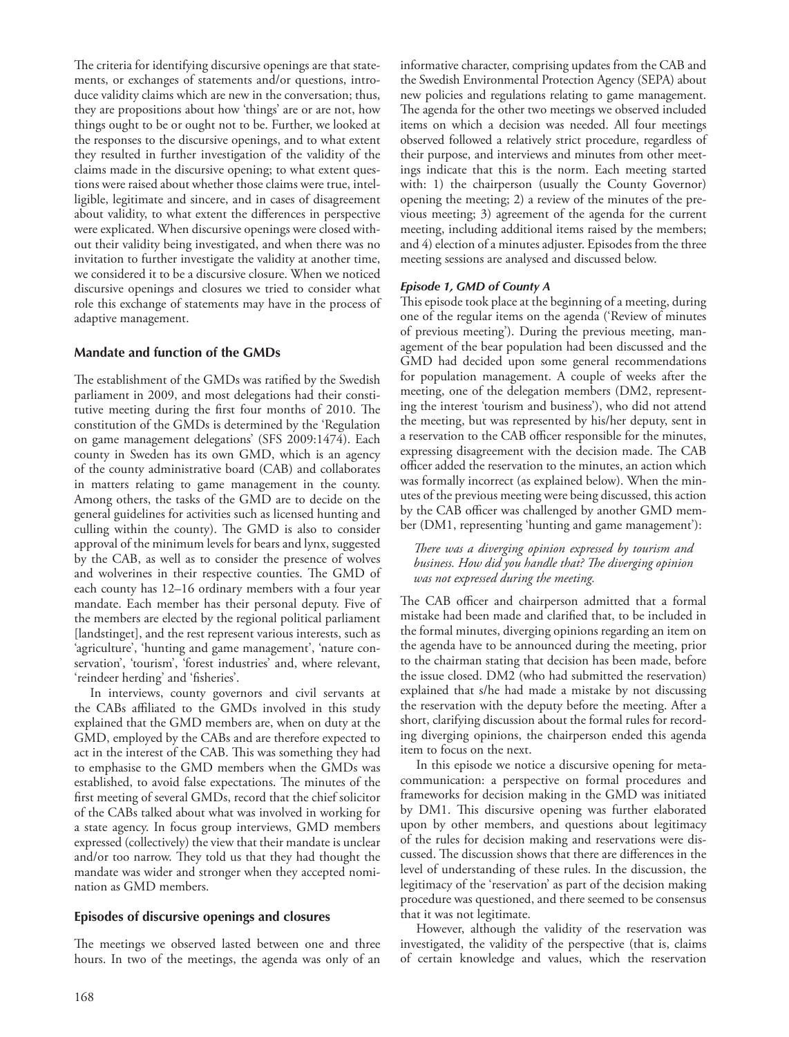The criteria for identifying discursive openings are that statements, or exchanges of statements and/or questions, introduce validity claims which are new in the conversation; thus, they are propositions about how 'things' are or are not, how things ought to be or ought not to be. Further, we looked at the responses to the discursive openings, and to what extent they resulted in further investigation of the validity of the claims made in the discursive opening; to what extent questions were raised about whether those claims were true, intelligible, legitimate and sincere, and in cases of disagreement about validity, to what extent the differences in perspective were explicated. When discursive openings were closed without their validity being investigated, and when there was no invitation to further investigate the validity at another time, we considered it to be a discursive closure. When we noticed discursive openings and closures we tried to consider what role this exchange of statements may have in the process of adaptive management.

### **Mandate and function of the GMDs**

The establishment of the GMDs was ratified by the Swedish parliament in 2009, and most delegations had their constitutive meeting during the first four months of 2010. The constitution of the GMDs is determined by the 'Regulation on game management delegations' (SFS 2009:1474). Each county in Sweden has its own GMD, which is an agency of the county administrative board (CAB) and collaborates in matters relating to game management in the county. Among others, the tasks of the GMD are to decide on the general guidelines for activities such as licensed hunting and culling within the county). The GMD is also to consider approval of the minimum levels for bears and lynx, suggested by the CAB, as well as to consider the presence of wolves and wolverines in their respective counties. The GMD of each county has 12–16 ordinary members with a four year mandate. Each member has their personal deputy. Five of the members are elected by the regional political parliament [landstinget], and the rest represent various interests, such as 'agriculture', 'hunting and game management', 'nature conservation', 'tourism', 'forest industries' and, where relevant, ' reindeer herding' and 'fisheries'.

 In interviews, county governors and civil servants at the CABs affiliated to the GMDs involved in this study explained that the GMD members are, when on duty at the GMD, employed by the CABs and are therefore expected to act in the interest of the CAB. This was something they had to emphasise to the GMD members when the GMDs was established, to avoid false expectations. The minutes of the first meeting of several GMDs, record that the chief solicitor of the CABs talked about what was involved in working for a state agency. In focus group interviews, GMD members expressed (collectively) the view that their mandate is unclear and/or too narrow. They told us that they had thought the mandate was wider and stronger when they accepted nomination as GMD members.

#### **Episodes of discursive openings and closures**

The meetings we observed lasted between one and three hours. In two of the meetings, the agenda was only of an informative character, comprising updates from the CAB and the Swedish Environmental Protection Agency (SEPA) about new policies and regulations relating to game management. The agenda for the other two meetings we observed included items on which a decision was needed. All four meetings observed followed a relatively strict procedure, regardless of their purpose, and interviews and minutes from other meetings indicate that this is the norm. Each meeting started with: 1) the chairperson (usually the County Governor) opening the meeting; 2) a review of the minutes of the previous meeting; 3) agreement of the agenda for the current meeting, including additional items raised by the members; and 4) election of a minutes adjuster. Episodes from the three meeting sessions are analysed and discussed below.

#### *Episode 1, GMD of County A*

This episode took place at the beginning of a meeting, during one of the regular items on the agenda ('Review of minutes of previous meeting'). During the previous meeting, management of the bear population had been discussed and the GMD had decided upon some general recommendations for population management. A couple of weeks after the meeting, one of the delegation members (DM2, representing the interest 'tourism and business'), who did not attend the meeting, but was represented by his/her deputy, sent in a reservation to the CAB officer responsible for the minutes, expressing disagreement with the decision made. The CAB officer added the reservation to the minutes, an action which was formally incorrect (as explained below). When the minutes of the previous meeting were being discussed, this action by the CAB officer was challenged by another GMD member (DM1, representing 'hunting and game management'):

*Th ere was a diverging opinion expressed by tourism and business. How did you handle that? The diverging opinion was not expressed during the meeting.*

The CAB officer and chairperson admitted that a formal mistake had been made and clarified that, to be included in the formal minutes, diverging opinions regarding an item on the agenda have to be announced during the meeting, prior to the chairman stating that decision has been made, before the issue closed. DM2 (who had submitted the reservation) explained that s/he had made a mistake by not discussing the reservation with the deputy before the meeting. After a short, clarifying discussion about the formal rules for recording diverging opinions, the chairperson ended this agenda item to focus on the next.

 In this episode we notice a discursive opening for metacommunication: a perspective on formal procedures and frameworks for decision making in the GMD was initiated by DM1. This discursive opening was further elaborated upon by other members, and questions about legitimacy of the rules for decision making and reservations were discussed. The discussion shows that there are differences in the level of understanding of these rules. In the discussion, the legitimacy of the 'reservation' as part of the decision making procedure was questioned, and there seemed to be consensus that it was not legitimate.

 However, although the validity of the reservation was investigated, the validity of the perspective (that is, claims of certain knowledge and values, which the reservation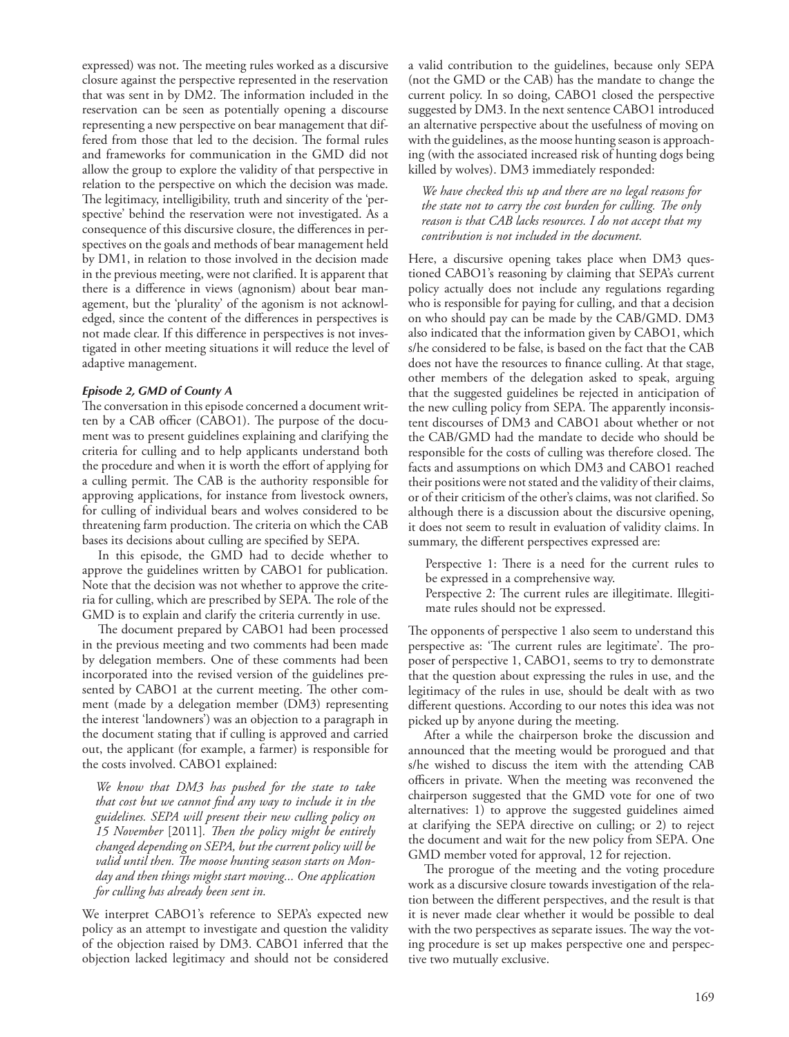expressed) was not. The meeting rules worked as a discursive closure against the perspective represented in the reservation that was sent in by DM2. The information included in the reservation can be seen as potentially opening a discourse representing a new perspective on bear management that differed from those that led to the decision. The formal rules and frameworks for communication in the GMD did not allow the group to explore the validity of that perspective in relation to the perspective on which the decision was made. The legitimacy, intelligibility, truth and sincerity of the 'perspective' behind the reservation were not investigated. As a consequence of this discursive closure, the differences in perspectives on the goals and methods of bear management held by DM1, in relation to those involved in the decision made in the previous meeting, were not clarified. It is apparent that there is a difference in views (agnonism) about bear management, but the 'plurality' of the agonism is not acknowledged, since the content of the differences in perspectives is not made clear. If this difference in perspectives is not investigated in other meeting situations it will reduce the level of adaptive management.

#### *Episode 2, GMD of County A*

The conversation in this episode concerned a document written by a CAB officer (CABO1). The purpose of the document was to present guidelines explaining and clarifying the criteria for culling and to help applicants understand both the procedure and when it is worth the effort of applying for a culling permit. The CAB is the authority responsible for approving applications, for instance from livestock owners, for culling of individual bears and wolves considered to be threatening farm production. The criteria on which the CAB bases its decisions about culling are specified by SEPA.

 In this episode, the GMD had to decide whether to approve the guidelines written by CABO1 for publication. Note that the decision was not whether to approve the criteria for culling, which are prescribed by SEPA. The role of the GMD is to explain and clarify the criteria currently in use.

The document prepared by CABO1 had been processed in the previous meeting and two comments had been made by delegation members. One of these comments had been incorporated into the revised version of the guidelines presented by CABO1 at the current meeting. The other comment (made by a delegation member (DM3) representing the interest 'landowners') was an objection to a paragraph in the document stating that if culling is approved and carried out, the applicant (for example, a farmer) is responsible for the costs involved. CABO1 explained:

*We know that DM3 has pushed for the state to take that cost but we cannot find any way to include it in the guidelines. SEPA will present their new culling policy on*  15 November [2011]. Then the policy might be entirely *changed depending on SEPA, but the current policy will be*  valid until then. The moose hunting season starts on Mon*day and then things might start moving... One application for culling has already been sent in.*

We interpret CABO1's reference to SEPA's expected new policy as an attempt to investigate and question the validity of the objection raised by DM3. CABO1 inferred that the objection lacked legitimacy and should not be considered a valid contribution to the guidelines, because only SEPA (not the GMD or the CAB) has the mandate to change the current policy. In so doing, CABO1 closed the perspective suggested by DM3. In the next sentence CABO1 introduced an alternative perspective about the usefulness of moving on with the guidelines, as the moose hunting season is approaching (with the associated increased risk of hunting dogs being killed by wolves). DM3 immediately responded:

*We have checked this up and there are no legal reasons for the state not to carry the cost burden for culling. The only reason is that CAB lacks resources. I do not accept that my contribution is not included in the document.*

 Here, a discursive opening takes place when DM3 questioned CABO1's reasoning by claiming that SEPA's current policy actually does not include any regulations regarding who is responsible for paying for culling, and that a decision on who should pay can be made by the CAB/GMD. DM3 also indicated that the information given by CABO1, which s/he considered to be false, is based on the fact that the CAB does not have the resources to finance culling. At that stage, other members of the delegation asked to speak, arguing that the suggested guidelines be rejected in anticipation of the new culling policy from SEPA. The apparently inconsistent discourses of DM3 and CABO1 about whether or not the CAB/GMD had the mandate to decide who should be responsible for the costs of culling was therefore closed. The facts and assumptions on which DM3 and CABO1 reached their positions were not stated and the validity of their claims, or of their criticism of the other's claims, was not clarified. So although there is a discussion about the discursive opening, it does not seem to result in evaluation of validity claims. In summary, the different perspectives expressed are:

Perspective 1: There is a need for the current rules to be expressed in a comprehensive way.

Perspective 2: The current rules are illegitimate. Illegitimate rules should not be expressed.

The opponents of perspective 1 also seem to understand this perspective as: 'The current rules are legitimate'. The proposer of perspective 1, CABO1, seems to try to demonstrate that the question about expressing the rules in use, and the legitimacy of the rules in use, should be dealt with as two different questions. According to our notes this idea was not picked up by anyone during the meeting.

 After a while the chairperson broke the discussion and announced that the meeting would be prorogued and that s/he wished to discuss the item with the attending CAB officers in private. When the meeting was reconvened the chairperson suggested that the GMD vote for one of two alternatives: 1) to approve the suggested guidelines aimed at clarifying the SEPA directive on culling; or 2) to reject the document and wait for the new policy from SEPA. One GMD member voted for approval, 12 for rejection.

The prorogue of the meeting and the voting procedure work as a discursive closure towards investigation of the relation between the different perspectives, and the result is that it is never made clear whether it would be possible to deal with the two perspectives as separate issues. The way the voting procedure is set up makes perspective one and perspective two mutually exclusive.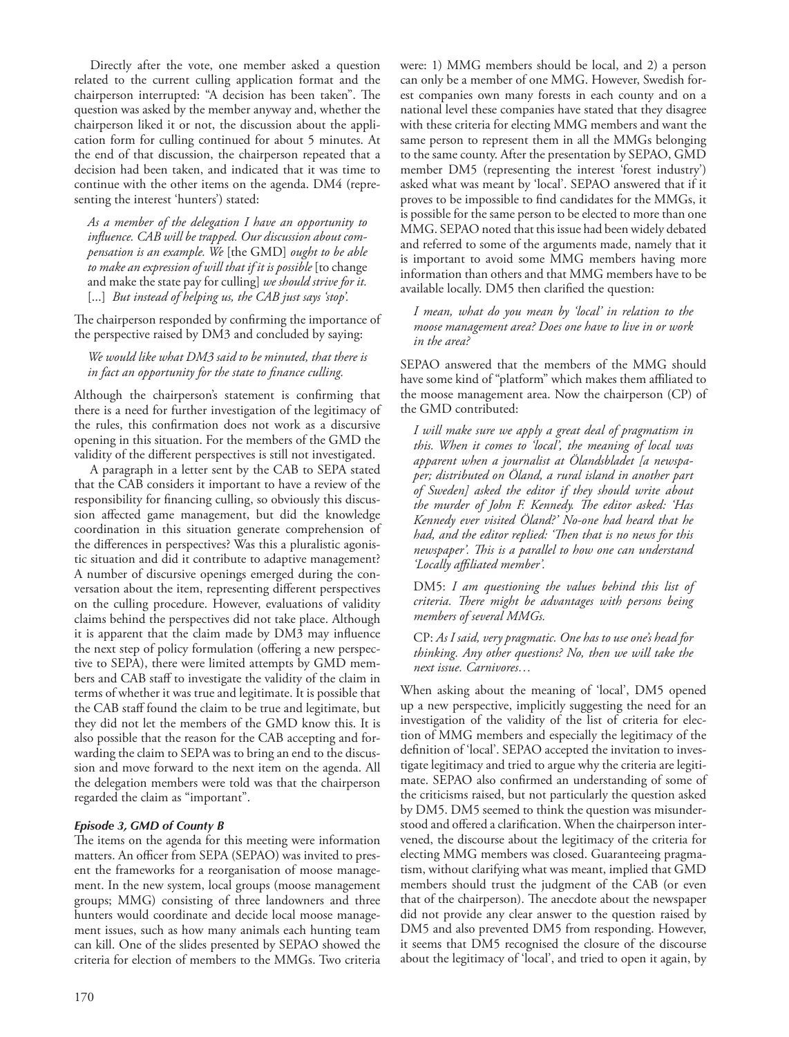Directly after the vote, one member asked a question related to the current culling application format and the chairperson interrupted: "A decision has been taken". The question was asked by the member anyway and, whether the chairperson liked it or not, the discussion about the application form for culling continued for about 5 minutes. At the end of that discussion, the chairperson repeated that a decision had been taken, and indicated that it was time to continue with the other items on the agenda. DM4 (representing the interest 'hunters') stated:

*As a member of the delegation I have an opportunity to*  influence. CAB will be trapped. Our discussion about com*pensation is an example. We* [the GMD] *ought to be able to make an expression of will that if it is possible* [to change and make the state pay for culling] *we should strive for it.* [...] *But instead of helping us, the CAB just says 'stop'*.

The chairperson responded by confirming the importance of the perspective raised by DM3 and concluded by saying:

*We would like what DM3 said to be minuted, that there is*  in fact an opportunity for the state to finance culling.

Although the chairperson's statement is confirming that there is a need for further investigation of the legitimacy of the rules, this confirmation does not work as a discursive opening in this situation. For the members of the GMD the validity of the different perspectives is still not investigated.

 A paragraph in a letter sent by the CAB to SEPA stated that the CAB considers it important to have a review of the responsibility for financing culling, so obviously this discussion aff ected game management, but did the knowledge coordination in this situation generate comprehension of the differences in perspectives? Was this a pluralistic agonistic situation and did it contribute to adaptive management? A number of discursive openings emerged during the conversation about the item, representing different perspectives on the culling procedure. However, evaluations of validity claims behind the perspectives did not take place. Although it is apparent that the claim made by DM3 may influence the next step of policy formulation (offering a new perspective to SEPA), there were limited attempts by GMD members and CAB staff to investigate the validity of the claim in terms of whether it was true and legitimate. It is possible that the CAB staff found the claim to be true and legitimate, but they did not let the members of the GMD know this. It is also possible that the reason for the CAB accepting and forwarding the claim to SEPA was to bring an end to the discussion and move forward to the next item on the agenda. All the delegation members were told was that the chairperson regarded the claim as "important".

#### *Episode 3, GMD of County B*

The items on the agenda for this meeting were information matters. An officer from SEPA (SEPAO) was invited to present the frameworks for a reorganisation of moose management. In the new system, local groups (moose management groups; MMG) consisting of three landowners and three hunters would coordinate and decide local moose management issues, such as how many animals each hunting team can kill. One of the slides presented by SEPAO showed the criteria for election of members to the MMGs. Two criteria were: 1) MMG members should be local, and 2) a person can only be a member of one MMG. However, Swedish forest companies own many forests in each county and on a national level these companies have stated that they disagree with these criteria for electing MMG members and want the same person to represent them in all the MMGs belonging to the same county. After the presentation by SEPAO, GMD member DM5 (representing the interest 'forest industry') asked what was meant by 'local'. SEPAO answered that if it proves to be impossible to find candidates for the MMGs, it is possible for the same person to be elected to more than one MMG. SEPAO noted that this issue had been widely debated and referred to some of the arguments made, namely that it is important to avoid some MMG members having more information than others and that MMG members have to be available locally. DM5 then clarified the question:

*I mean, what do you mean by ' local ' in relation to the moose management area? Does one have to live in or work in the area?*

 SEPAO answered that the members of the MMG should have some kind of "platform" which makes them affiliated to the moose management area. Now the chairperson (CP) of the GMD contributed:

*I will make sure we apply a great deal of pragmatism in this. When it comes to ' local ' , the meaning of local was apparent when a journalist at Ö landsbladet [a newspaper; distributed on Ö land, a rural island in another part of Sweden] asked the editor if they should write about*  the murder of John F. Kennedy. The editor asked: 'Has *Kennedy ever visited Ö land? ' No-one had heard that he had, and the editor replied: 'Then that is no news for this newspaper ' . Th is is a parallel to how one can understand ' Locally affi liated member ' .*

 DM5: *I am questioning the values behind this list of criteria. Th ere might be advantages with persons being members of several MMGs.*

CP: As I said, very pragmatic. One has to use one's head for *thinking. Any other questions? No, then we will take the next issue. Carnivores …* 

When asking about the meaning of 'local', DM5 opened up a new perspective, implicitly suggesting the need for an investigation of the validity of the list of criteria for election of MMG members and especially the legitimacy of the definition of 'local'. SEPAO accepted the invitation to investigate legitimacy and tried to argue why the criteria are legitimate. SEPAO also confirmed an understanding of some of the criticisms raised, but not particularly the question asked by DM5. DM5 seemed to think the question was misunderstood and offered a clarification. When the chairperson intervened, the discourse about the legitimacy of the criteria for electing MMG members was closed. Guaranteeing pragmatism, without clarifying what was meant, implied that GMD members should trust the judgment of the CAB (or even that of the chairperson). The anecdote about the newspaper did not provide any clear answer to the question raised by DM5 and also prevented DM5 from responding. However, it seems that DM5 recognised the closure of the discourse about the legitimacy of 'local', and tried to open it again, by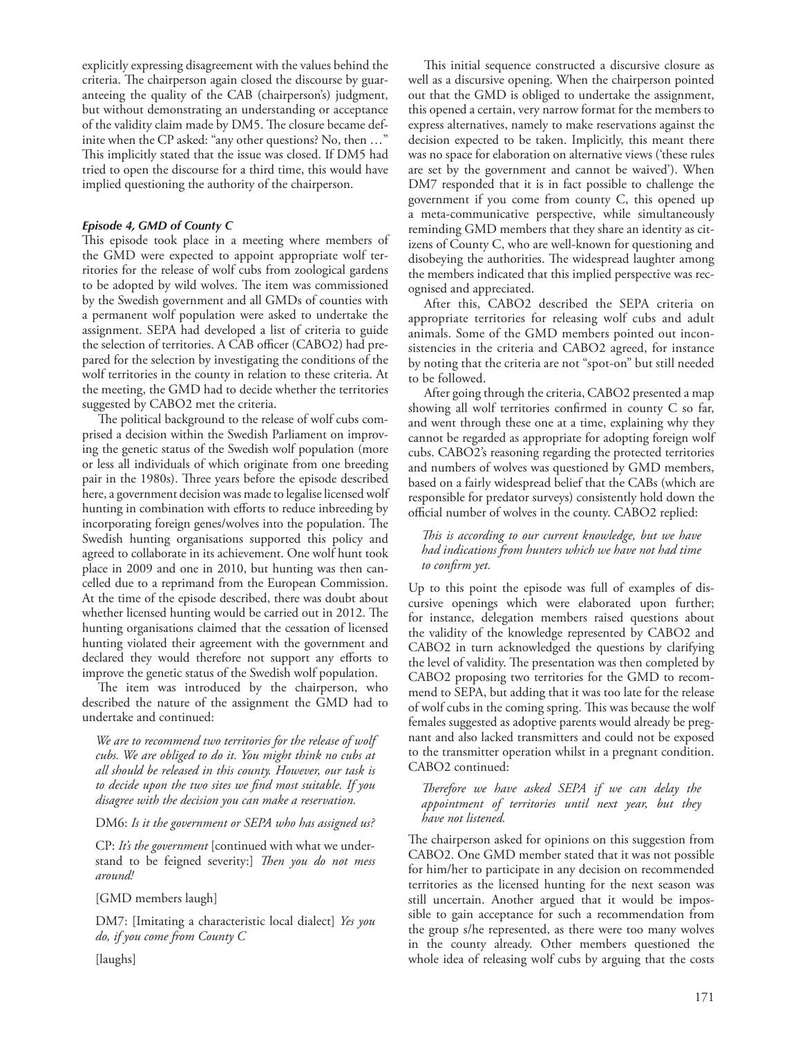explicitly expressing disagreement with the values behind the criteria. The chairperson again closed the discourse by guaranteeing the quality of the CAB (chairperson's) judgment, but without demonstrating an understanding or acceptance of the validity claim made by DM5. The closure became definite when the CP asked: "any other questions? No, then ..." This implicitly stated that the issue was closed. If DM5 had tried to open the discourse for a third time, this would have implied questioning the authority of the chairperson.

#### *Episode 4, GMD of County C*

This episode took place in a meeting where members of the GMD were expected to appoint appropriate wolf territories for the release of wolf cubs from zoological gardens to be adopted by wild wolves. The item was commissioned by the Swedish government and all GMDs of counties with a permanent wolf population were asked to undertake the assignment. SEPA had developed a list of criteria to guide the selection of territories. A CAB officer (CABO2) had prepared for the selection by investigating the conditions of the wolf territories in the county in relation to these criteria. At the meeting, the GMD had to decide whether the territories suggested by CABO2 met the criteria.

The political background to the release of wolf cubs comprised a decision within the Swedish Parliament on improving the genetic status of the Swedish wolf population (more or less all individuals of which originate from one breeding pair in the 1980s). Three years before the episode described here, a government decision was made to legalise licensed wolf hunting in combination with efforts to reduce inbreeding by incorporating foreign genes/wolves into the population. The Swedish hunting organisations supported this policy and agreed to collaborate in its achievement. One wolf hunt took place in 2009 and one in 2010, but hunting was then cancelled due to a reprimand from the European Commission. At the time of the episode described, there was doubt about whether licensed hunting would be carried out in 2012. The hunting organisations claimed that the cessation of licensed hunting violated their agreement with the government and declared they would therefore not support any efforts to improve the genetic status of the Swedish wolf population.

The item was introduced by the chairperson, who described the nature of the assignment the GMD had to undertake and continued:

*We are to recommend two territories for the release of wolf cubs. We are obliged to do it. You might think no cubs at all should be released in this county. However, our task is*  to decide upon the two sites we find most suitable. If you *disagree with the decision you can make a reservation.*

#### DM6: *Is it the government or SEPA who has assigned us?*

CP: *It's the government* [continued with what we understand to be feigned severity:] *Then you do not mess around!*

## [GMD members laugh]

 DM7: [Imitating a characteristic local dialect] *Yes you do, if you come from County C*

[laughs]

This initial sequence constructed a discursive closure as well as a discursive opening. When the chairperson pointed out that the GMD is obliged to undertake the assignment, this opened a certain, very narrow format for the members to express alternatives, namely to make reservations against the decision expected to be taken. Implicitly, this meant there was no space for elaboration on alternative views ('these rules are set by the government and cannot be waived'). When DM7 responded that it is in fact possible to challenge the government if you come from county C, this opened up a meta-communicative perspective, while simultaneously reminding GMD members that they share an identity as citizens of County C, who are well-known for questioning and disobeying the authorities. The widespread laughter among the members indicated that this implied perspective was recognised and appreciated.

 After this, CABO2 described the SEPA criteria on appropriate territories for releasing wolf cubs and adult animals. Some of the GMD members pointed out inconsistencies in the criteria and CABO2 agreed, for instance by noting that the criteria are not "spot-on" but still needed to be followed.

 After going through the criteria, CABO2 presented a map showing all wolf territories confirmed in county  $C$  so far, and went through these one at a time, explaining why they cannot be regarded as appropriate for adopting foreign wolf cubs. CABO2's reasoning regarding the protected territories and numbers of wolves was questioned by GMD members, based on a fairly widespread belief that the CABs (which are responsible for predator surveys) consistently hold down the official number of wolves in the county. CABO2 replied:

*This is according to our current knowledge, but we have had indications from hunters which we have not had time*  to confirm yet.

 Up to this point the episode was full of examples of discursive openings which were elaborated upon further; for instance, delegation members raised questions about the validity of the knowledge represented by CABO2 and CABO2 in turn acknowledged the questions by clarifying the level of validity. The presentation was then completed by CABO2 proposing two territories for the GMD to recommend to SEPA, but adding that it was too late for the release of wolf cubs in the coming spring. This was because the wolf females suggested as adoptive parents would already be pregnant and also lacked transmitters and could not be exposed to the transmitter operation whilst in a pregnant condition. CABO2 continued:

*Th erefore we have asked SEPA if we can delay the appointment of territories until next year, but they have not listened.*

The chairperson asked for opinions on this suggestion from CABO2. One GMD member stated that it was not possible for him/her to participate in any decision on recommended territories as the licensed hunting for the next season was still uncertain. Another argued that it would be impossible to gain acceptance for such a recommendation from the group s/he represented, as there were too many wolves in the county already. Other members questioned the whole idea of releasing wolf cubs by arguing that the costs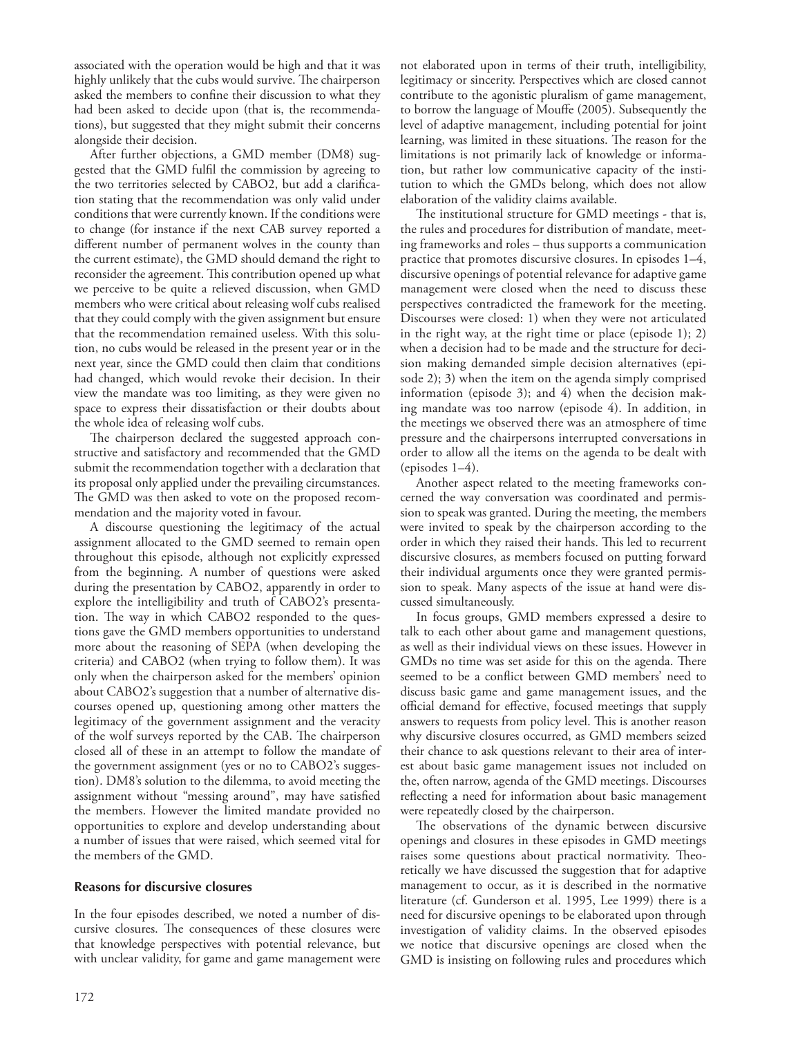associated with the operation would be high and that it was highly unlikely that the cubs would survive. The chairperson asked the members to confine their discussion to what they had been asked to decide upon (that is, the recommendations), but suggested that they might submit their concerns alongside their decision.

 After further objections, a GMD member (DM8) suggested that the GMD fulfil the commission by agreeing to the two territories selected by CABO2, but add a clarification stating that the recommendation was only valid under conditions that were currently known. If the conditions were to change (for instance if the next CAB survey reported a different number of permanent wolves in the county than the current estimate), the GMD should demand the right to reconsider the agreement. This contribution opened up what we perceive to be quite a relieved discussion, when GMD members who were critical about releasing wolf cubs realised that they could comply with the given assignment but ensure that the recommendation remained useless. With this solution, no cubs would be released in the present year or in the next year, since the GMD could then claim that conditions had changed, which would revoke their decision. In their view the mandate was too limiting, as they were given no space to express their dissatisfaction or their doubts about the whole idea of releasing wolf cubs.

The chairperson declared the suggested approach constructive and satisfactory and recommended that the GMD submit the recommendation together with a declaration that its proposal only applied under the prevailing circumstances. The GMD was then asked to vote on the proposed recommendation and the majority voted in favour.

 A discourse questioning the legitimacy of the actual assignment allocated to the GMD seemed to remain open throughout this episode, although not explicitly expressed from the beginning. A number of questions were asked during the presentation by CABO2, apparently in order to explore the intelligibility and truth of CABO2's presentation. The way in which CABO2 responded to the questions gave the GMD members opportunities to understand more about the reasoning of SEPA (when developing the criteria) and CABO2 (when trying to follow them). It was only when the chairperson asked for the members' opinion about CABO2's suggestion that a number of alternative discourses opened up, questioning among other matters the legitimacy of the government assignment and the veracity of the wolf surveys reported by the CAB. The chairperson closed all of these in an attempt to follow the mandate of the government assignment (yes or no to CABO2's suggestion). DM8's solution to the dilemma, to avoid meeting the assignment without "messing around", may have satisfied the members. However the limited mandate provided no opportunities to explore and develop understanding about a number of issues that were raised, which seemed vital for the members of the GMD.

#### **Reasons for discursive closures**

 In the four episodes described, we noted a number of discursive closures. The consequences of these closures were that knowledge perspectives with potential relevance, but with unclear validity, for game and game management were not elaborated upon in terms of their truth, intelligibility, legitimacy or sincerity. Perspectives which are closed cannot contribute to the agonistic pluralism of game management, to borrow the language of Mouffe (2005). Subsequently the level of adaptive management, including potential for joint learning, was limited in these situations. The reason for the limitations is not primarily lack of knowledge or information, but rather low communicative capacity of the institution to which the GMDs belong, which does not allow elaboration of the validity claims available.

The institutional structure for GMD meetings - that is, the rules and procedures for distribution of mandate, meeting frameworks and roles – thus supports a communication practice that promotes discursive closures. In episodes 1-4, discursive openings of potential relevance for adaptive game management were closed when the need to discuss these perspectives contradicted the framework for the meeting. Discourses were closed: 1) when they were not articulated in the right way, at the right time or place (episode 1); 2) when a decision had to be made and the structure for decision making demanded simple decision alternatives (episode 2); 3) when the item on the agenda simply comprised information (episode 3); and 4) when the decision making mandate was too narrow (episode 4). In addition, in the meetings we observed there was an atmosphere of time pressure and the chairpersons interrupted conversations in order to allow all the items on the agenda to be dealt with  $(e$ pisodes  $1-4$ ).

 Another aspect related to the meeting frameworks concerned the way conversation was coordinated and permission to speak was granted. During the meeting, the members were invited to speak by the chairperson according to the order in which they raised their hands. This led to recurrent discursive closures, as members focused on putting forward their individual arguments once they were granted permission to speak. Many aspects of the issue at hand were discussed simultaneously.

 In focus groups, GMD members expressed a desire to talk to each other about game and management questions, as well as their individual views on these issues. However in GMDs no time was set aside for this on the agenda. There seemed to be a conflict between GMD members' need to discuss basic game and game management issues, and the official demand for effective, focused meetings that supply answers to requests from policy level. This is another reason why discursive closures occurred, as GMD members seized their chance to ask questions relevant to their area of interest about basic game management issues not included on the, often narrow, agenda of the GMD meetings. Discourses reflecting a need for information about basic management were repeatedly closed by the chairperson.

The observations of the dynamic between discursive openings and closures in these episodes in GMD meetings raises some questions about practical normativity. Theoretically we have discussed the suggestion that for adaptive management to occur, as it is described in the normative literature (cf. Gunderson et al. 1995, Lee 1999) there is a need for discursive openings to be elaborated upon through investigation of validity claims. In the observed episodes we notice that discursive openings are closed when the GMD is insisting on following rules and procedures which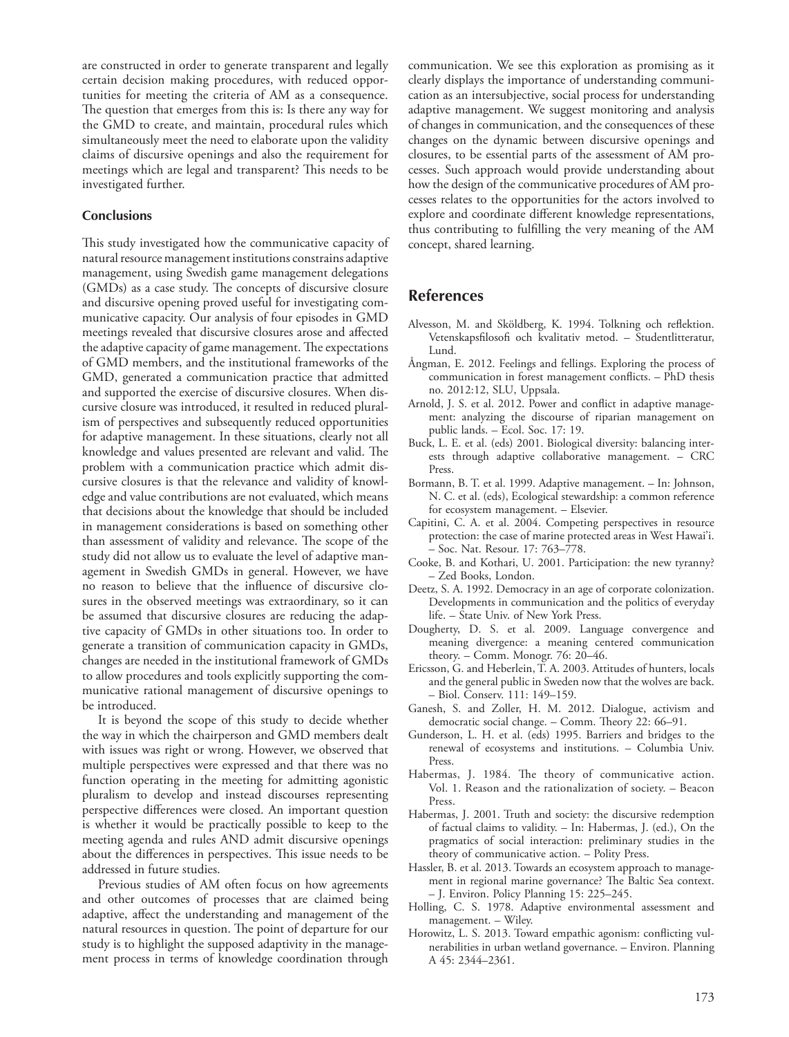are constructed in order to generate transparent and legally certain decision making procedures, with reduced opportunities for meeting the criteria of AM as a consequence. The question that emerges from this is: Is there any way for the GMD to create, and maintain, procedural rules which simultaneously meet the need to elaborate upon the validity claims of discursive openings and also the requirement for meetings which are legal and transparent? This needs to be investigated further.

#### **Conclusions**

This study investigated how the communicative capacity of natural resource management institutions constrains adaptive management, using Swedish game management delegations (GMDs) as a case study. The concepts of discursive closure and discursive opening proved useful for investigating communicative capacity. Our analysis of four episodes in GMD meetings revealed that discursive closures arose and affected the adaptive capacity of game management. The expectations of GMD members, and the institutional frameworks of the GMD, generated a communication practice that admitted and supported the exercise of discursive closures. When discursive closure was introduced, it resulted in reduced pluralism of perspectives and subsequently reduced opportunities for adaptive management. In these situations, clearly not all knowledge and values presented are relevant and valid. The problem with a communication practice which admit discursive closures is that the relevance and validity of knowledge and value contributions are not evaluated, which means that decisions about the knowledge that should be included in management considerations is based on something other than assessment of validity and relevance. The scope of the study did not allow us to evaluate the level of adaptive management in Swedish GMDs in general. However, we have no reason to believe that the influence of discursive closures in the observed meetings was extraordinary, so it can be assumed that discursive closures are reducing the adaptive capacity of GMDs in other situations too. In order to generate a transition of communication capacity in GMDs, changes are needed in the institutional framework of GMDs to allow procedures and tools explicitly supporting the communicative rational management of discursive openings to be introduced.

 It is beyond the scope of this study to decide whether the way in which the chairperson and GMD members dealt with issues was right or wrong. However, we observed that multiple perspectives were expressed and that there was no function operating in the meeting for admitting agonistic pluralism to develop and instead discourses representing perspective differences were closed. An important question is whether it would be practically possible to keep to the meeting agenda and rules AND admit discursive openings about the differences in perspectives. This issue needs to be addressed in future studies.

 Previous studies of AM often focus on how agreements and other outcomes of processes that are claimed being adaptive, affect the understanding and management of the natural resources in question. The point of departure for our study is to highlight the supposed adaptivity in the management process in terms of knowledge coordination through communication. We see this exploration as promising as it clearly displays the importance of understanding communication as an intersubjective, social process for understanding adaptive management. We suggest monitoring and analysis of changes in communication, and the consequences of these changes on the dynamic between discursive openings and closures, to be essential parts of the assessment of AM processes. Such approach would provide understanding about how the design of the communicative procedures of AM processes relates to the opportunities for the actors involved to explore and coordinate different knowledge representations, thus contributing to fulfilling the very meaning of the AM concept, shared learning.

## **References**

- Alvesson, M. and Sköldberg, K. 1994. Tolkning och reflektion. Vetenskapsfilosofi och kvalitativ metod. - Studentlitteratur, Lund
- Ångman, E. 2012. Feelings and fellings. Exploring the process of communication in forest management conflicts. – PhD thesis no. 2012:12, SLU, Uppsala.
- Arnold, J. S. et al. 2012. Power and conflict in adaptive management: analyzing the discourse of riparian management on public lands. – Ecol. Soc. 17: 19.
- Buck, L. E. et al. (eds) 2001. Biological diversity: balancing interests through adaptive collaborative management. – CRC Press.
- Bormann, B. T. et al. 1999. Adaptive management. In: Johnson, N. C. et al. (eds), Ecological stewardship: a common reference for ecosystem management. – Elsevier.
- Capitini, C. A. et al. 2004. Competing perspectives in resource protection: the case of marine protected areas in West Hawai'i. - Soc. Nat. Resour. 17: 763-778.
- Cooke, B. and Kothari, U. 2001. Participation: the new tyranny? – Zed Books, London.
- Deetz, S. A. 1992. Democracy in an age of corporate colonization. Developments in communication and the politics of everyday life. – State Univ. of New York Press.
- Dougherty, D. S. et al. 2009. Language convergence and meaning divergence: a meaning centered communication theory. – Comm. Monogr. 76: 20–46.
- Ericsson, G. and Heberlein, T. A. 2003. Attitudes of hunters, locals and the general public in Sweden now that the wolves are back. – Biol. Conserv. 111: 149 – 159.
- Ganesh, S. and Zoller, H. M. 2012. Dialogue, activism and democratic social change.  $-$  Comm. Theory 22: 66–91.
- Gunderson, L. H. et al. (eds) 1995. Barriers and bridges to the renewal of ecosystems and institutions. – Columbia Univ. Press.
- Habermas, J. 1984. The theory of communicative action. Vol. 1. Reason and the rationalization of society. – Beacon Press.
- Habermas, J. 2001. Truth and society: the discursive redemption of factual claims to validity. – In: Habermas, J. (ed.), On the pragmatics of social interaction: preliminary studies in the theory of communicative action. – Polity Press.
- Hassler, B. et al. 2013. Towards an ecosystem approach to management in regional marine governance? The Baltic Sea context. – J. Environ. Policy Planning 15: 225–245.
- Holling, C. S. 1978. Adaptive environmental assessment and management. – Wiley.
- Horowitz, L. S. 2013. Toward empathic agonism: conflicting vulnerabilities in urban wetland governance. – Environ. Planning A 45: 2344-2361.